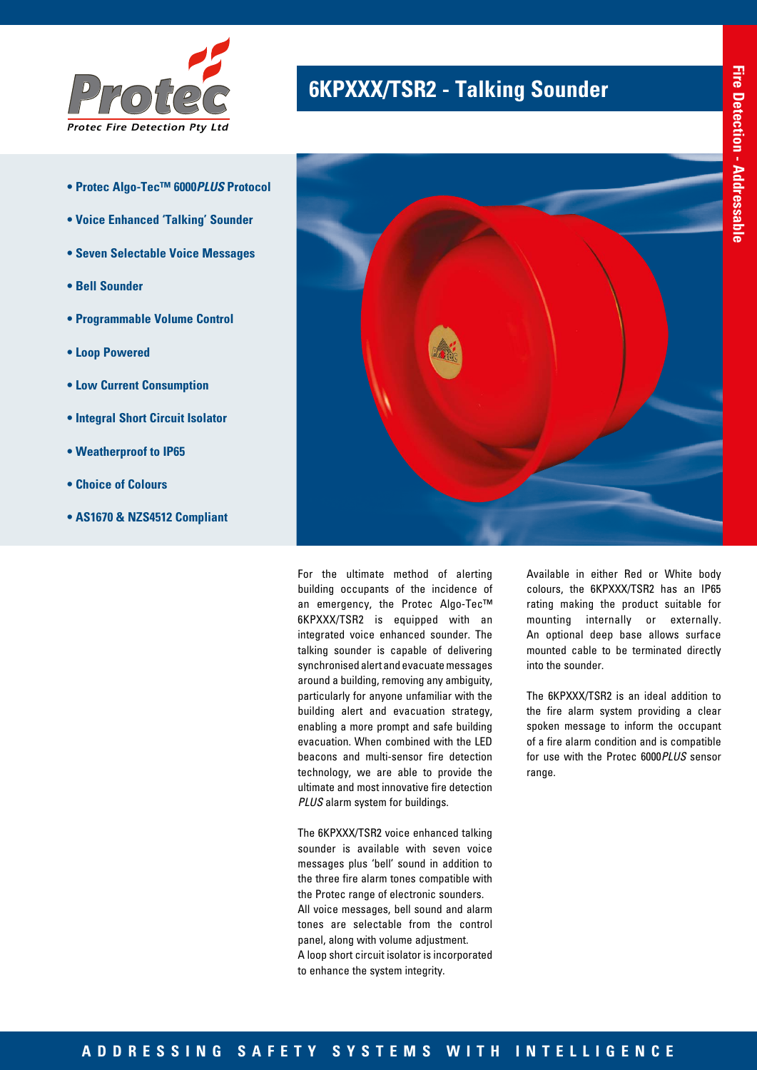

- **Protec Algo-Tec™ 6000***PLUS* **Protocol**
- **Voice Enhanced 'Talking' Sounder**
- **Seven Selectable Voice Messages**
- **Bell Sounder**
- **Programmable Volume Control**
- **Loop Powered**
- **Low Current Consumption**
- **Integral Short Circuit Isolator**
- **Weatherproof to IP65**
- **Choice of Colours**
- **AS1670 & NZS4512 Compliant**

# **6KPXXX/TSR2 - Talking Sounder**



For the ultimate method of alerting building occupants of the incidence of an emergency, the Protec Algo-Tec™ 6KPXXX/TSR2 is equipped with an integrated voice enhanced sounder. The talking sounder is capable of delivering synchronised alert and evacuate messages around a building, removing any ambiguity, particularly for anyone unfamiliar with the building alert and evacuation strategy, enabling a more prompt and safe building evacuation. When combined with the LED beacons and multi-sensor fire detection technology, we are able to provide the ultimate and most innovative fire detection *PLUS* alarm system for buildings.

The 6KPXXX/TSR2 voice enhanced talking sounder is available with seven voice messages plus 'bell' sound in addition to the three fire alarm tones compatible with the Protec range of electronic sounders. All voice messages, bell sound and alarm tones are selectable from the control panel, along with volume adjustment. A loop short circuit isolator is incorporated to enhance the system integrity.

Available in either Red or White body colours, the 6KPXXX/TSR2 has an IP65 rating making the product suitable for mounting internally or externally. An optional deep base allows surface mounted cable to be terminated directly into the sounder.

The 6KPXXX/TSR2 is an ideal addition to the fire alarm system providing a clear spoken message to inform the occupant of a fire alarm condition and is compatible for use with the Protec 6000*PLUS* sensor range.